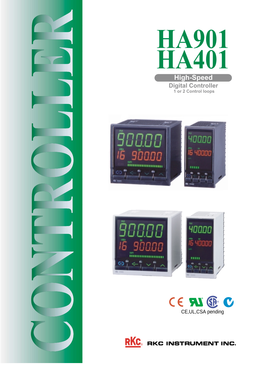









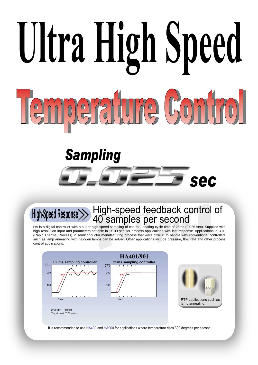# **Ultra High Speed**  $\left(\begin{array}{c}\n\Box\n\end{array}\right)$  $\frac{\Omega}{\nabla}$ **CUI**

# *Sampling*

# High-speed feedback control of High-opeen Response **40** samples per second

*sec*

sec

HA is a digital controller with a super high speed sampling of control updating cycle time of 25ms (0.025 sec). Supplied with high resolution input and parameters settable in 1/100 sec. for process applications with fast response. Applications in RTP (Rapid Thermal Process) in semiconductor manufacturing process that were difficult to handle with conventional controllers such as lamp annealing with halogen lamps can be solved. Other applications include pressure, flow rate and other process control applications.



It is recommended to use HA400 and HA900 for applications where temperature rises 300 degrees per second.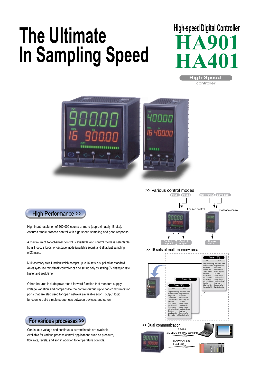# **The Ultimate In Sampling Speed**

# **High-speed Digital Controller HA901HA401**









i i i. F3F2F1 **SYSTEM**

### High Performance >>

High input resolution of 200,000 counts or more (approximately 18 bits). Assures stable process control with high speed sampling and good response.

A maximum of two-channel control is available and control mode is selectable from 1 loop, 2 loops, or cascade mode (available soon), and all at fast sampling of 25msec.

Multi-memory area function which accepts up to 16 sets is supplied as standard. An easy-to-use ramp/soak controller can be set up only by setting SV changing rate limiter and soak time.

Other features include power feed forward function that monitors supply voltage variation and compensate the control output, up to two communication ports that are also used for open network (available soon), output logic function to build simple sequences between devices, and so on.



Continuous voltage and continuous current inputs are available. Available for various process control applications such as pressure, flow rate, levels, and son in addition to temperature controls.

>> Dual communication



MAPMAN, and Field Bus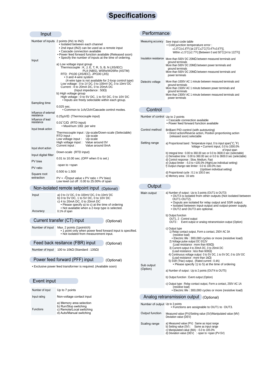# **Specifications**

| Input                                         |                                                                                                                                                                                                                                                                        | Performance                      |                                                                                                                                                                                                                                                                                          |
|-----------------------------------------------|------------------------------------------------------------------------------------------------------------------------------------------------------------------------------------------------------------------------------------------------------------------------|----------------------------------|------------------------------------------------------------------------------------------------------------------------------------------------------------------------------------------------------------------------------------------------------------------------------------------|
|                                               | Number of inputs 2 points (IN1 to IN2)<br>• Isolated between each channel<br>• 2nd input (IN2) can be used as a remote input<br>• Cascade connection available<br>• Power feed forward function available (Released soon)                                              |                                  | Measuring accuracy See input code table<br>. Cold junction temperature error:<br>$\pm$ 1.0°C( $\pm$ 1.8°F) [at 23°C $\pm$ 2°C(73.4°F $\pm$ 3.6°F)],<br>Within $\pm 1.5^{\circ}C(\pm 2.7^{\circ}F)$ [Between 0 and 50°C(14 to 122°F)]                                                     |
| Input                                         | • Specify the number of inputs at the time of ordering.<br>a) Low voltage input group<br>Thermocouple: K, J, E, T, R, S, B, N (JIS/IEC)<br>PLII (NBS), W5Re/W26Re (ASTM)<br>RTD: Pt100 (JIS/IEC), JPt100 (JIS)<br>• 3 and 4-wire system                                |                                  | Insulation resistance More than 500V DC 20MΩ between measured terminals and<br>ground terminals<br>More than 500V DC 20M $\Omega$ between power terminals and<br>ground terminals<br>More than 500V DC 20M $\Omega$ between measured terminals and<br>power terminals                    |
|                                               | (4-wire type is not available for 2-loop control type)<br>Low voltage: 0 to 1V DC, 0 to 100mV DC, 0 to 10mV DC<br>Current: 4 to 20mA DC, 0 to 20mA DC<br>(Input impedance : $50\Omega$ )<br>b) High voltage group<br>High voltage: 0 to 5V DC, 1 to 5V DC, 0 to 10V DC | Dielectric voltage               | More than 1000V AC 1 minute between measured terminals and<br>ground terminals<br>More than 1500V AC 1 minute between power terminals and<br>ground terminals<br>More than 2300V AC 1 minute between measured terminals and<br>power terminals                                           |
| Sampling time                                 | • Inputs are freely selectable within each group.<br>$0.025$ sec.                                                                                                                                                                                                      |                                  |                                                                                                                                                                                                                                                                                          |
| Influence of external                         | . Common to 1ch/2ch/Cascade control modes.                                                                                                                                                                                                                             | Control                          |                                                                                                                                                                                                                                                                                          |
| resistance<br>Influence of lead<br>resistance | $0.25\mu\sqrt{\Omega}$ (Thermocouple input)<br>$0.01^{\circ}C/\Omega$ (RTD input)                                                                                                                                                                                      | Number of control Up to 2 points | • Cascade connection available<br>. Power feed forward function available                                                                                                                                                                                                                |
| Input break action                            | • Maximum 10 $\Omega$ per wire<br>Thermocouple input : Up-scale/Down-scale (Selectable)<br>RTD input :<br>Up-scale<br>Low voltage input :<br>Up-scale                                                                                                                  | Control method                   | Brilliant PID control (with autotuning)<br>• Direct action/Reverse action, Position proportioning action<br>(released soon) selectable                                                                                                                                                   |
| Input short action                            | High voltage input : Value around 0V<br>Current input :<br>Value around 0mA                                                                                                                                                                                            | Setting range                    | a) Proportional band : Temperature input, 0 to input span( $^{\circ}$ C, $^{\circ}$ F)<br>Voltage . Current input, 0.0 to 1000.0%                                                                                                                                                        |
| Input digital filter                          | Down-scale (RTD input)                                                                                                                                                                                                                                                 |                                  | of input span<br>b) Integral time $: 0.00$ to 360.00 sec or 0.0 to 3600.0 sec (selectable)                                                                                                                                                                                               |
| PV bias                                       | 0.01 to 10.00 sec. (OFF when 0 is set.)                                                                                                                                                                                                                                |                                  | c) Derivative time : 0.00 to 360.00 sec or 0.0 to 3600.0 sec (selectable)<br>d) Control response : Slow, Medium, Fast                                                                                                                                                                    |
| PV ratio                                      | -span to +span                                                                                                                                                                                                                                                         |                                  | e) Output limiter : -5.0 to +105.0% (High/Low individual setting)<br>f) Output change rate limiter : 0.0 to 100.0% /sec                                                                                                                                                                  |
| Square root                                   | 0.500 to 1.500                                                                                                                                                                                                                                                         |                                  | (Up/down individual setting)<br>d) Proportional cycle: 0.1 to 100.0 sec                                                                                                                                                                                                                  |
| extraction                                    | $PV = \sqrt{$ (Input value x PV ratio + PV bias)<br>Low level cut off: 0.00 to 25.00% of span                                                                                                                                                                          |                                  | e) Memory area : 16 sets                                                                                                                                                                                                                                                                 |
|                                               | Non-isolated remote setpoint input (Optional)                                                                                                                                                                                                                          | Output                           |                                                                                                                                                                                                                                                                                          |
| Input                                         | a) 0 to 1V DC, 0 to 100mV DC, 0 to 10mV DC<br>b) 0 to 5V DC, 1 to 5V DC, 0 to 10V DC<br>c) 4 to 20mA DC, 0 to 20mA DC<br>• Please specify a) to c) at the time of ordering<br>. Not available when a 2-loop type is selected.                                          | Main output                      | a) Number of output : Up to 3 points (OUT1 to OUT3)<br>• OUT3 is isolated from other outputs (Not isolated between<br>OUT1-OUT2).<br>. Ouputs are isolated for relay output and SSR output.<br>• Isolated between input-output and output-power supply.<br>• OUT2 and OUT3 are optional. |
| Accuracy                                      | 0.1% of span                                                                                                                                                                                                                                                           |                                  | b) Output function                                                                                                                                                                                                                                                                       |
|                                               | Current transfer (CT) input<br>(Optional)                                                                                                                                                                                                                              |                                  | OUT1, 2 : Control output<br>OUT3 : Event output or analog retransmission output (Option)                                                                                                                                                                                                 |
|                                               | Number of input Max. 2 points (1 point/ch)<br>• 1 point only when power feed forward input is specified.<br>. Not isolated from measurement input.                                                                                                                     |                                  | c) Output type<br>1) Relay contact output, Form a contact, 250V AC 3A<br>(resistive load)                                                                                                                                                                                                |
|                                               | Feed back resitance (FBR) input<br>(Optional)                                                                                                                                                                                                                          |                                  | • Electric life : 300,000 cycles or more (resistive load)<br>2) Voltage pulse output DC 0/12V<br>(Load resistance : more than 600 $\Omega$ )                                                                                                                                             |
|                                               | Number of input 100 to 10k $\Omega$ (Standard : 135 $\Omega$ )                                                                                                                                                                                                         |                                  | 3) Current output 4 to 20mA DC, 0 to 20mA DC<br>(Load resistance : less than 600 $\Omega$ )<br>4) Continuous voltage output 0 to 5V DC, 1 to 5V DC, 0 to 10V DC                                                                                                                          |
|                                               | Power feed forward (PFF) input<br>(Optional)                                                                                                                                                                                                                           |                                  | (Load resistance : more than $1k\Omega$ )<br>5) SSR (Triac) output, (Rated current : 0.4A)<br>• Please specify 1) to 5) at the time of ordering                                                                                                                                          |
|                                               | • Exclusive power feed transformer is required. (Available soon)                                                                                                                                                                                                       | Sub output<br>(Option)           | a) Number of output : Up to 2 points (OUT4 to OUT5)                                                                                                                                                                                                                                      |
| Event input                                   |                                                                                                                                                                                                                                                                        |                                  | b) Output function : Event output (Option)                                                                                                                                                                                                                                               |
| Number of input                               | Up to 7 points                                                                                                                                                                                                                                                         |                                  | c) Output type: Relay contact output, Form a contact, 250V AC 1A<br>(resistive load)<br>• Electric life : 300,000 cycles or more (resistive load)                                                                                                                                        |
| Input rating                                  | Non-voltage contact input                                                                                                                                                                                                                                              |                                  | Analog retransmission output (Optional)                                                                                                                                                                                                                                                  |
|                                               | a) Memory area selection<br>b) Run/Stop switching                                                                                                                                                                                                                      | Number of output Up to 3 points  | • Functions are assignable to OUT1 to OUT3.                                                                                                                                                                                                                                              |
| Functions                                     | c) Remote/Local switching<br>d) Auto/Manual switching                                                                                                                                                                                                                  | Output function                  | Measured value (PV)/Setting value (SV)/Manipulated value (MV)<br>Deviation value (DEV)                                                                                                                                                                                                   |
|                                               |                                                                                                                                                                                                                                                                        | Scaling range                    | a) Measured value (PV) : Same as input range<br>b) Setting value (SV): Same as input range<br>c) Manipulated calue (MA) : -5.0 to $105.0\%$<br>d) Deviation value (DEV) : -span to +span (PV-SV)                                                                                         |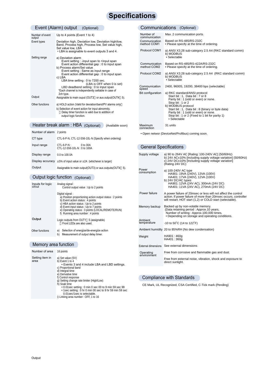### **Specifications**

#### Event (Alarm) output (Optional) and a communications

| Number of event       | Up to 4 points (Event 1 to 4)                                                                                                                                                                                                                                                                                                                                                                                                       |
|-----------------------|-------------------------------------------------------------------------------------------------------------------------------------------------------------------------------------------------------------------------------------------------------------------------------------------------------------------------------------------------------------------------------------------------------------------------------------|
| output<br>Event types | Deviation high, Deviation low, Deviation high/low,<br>Band, Process high, Process low, Set value high,<br>Set value low, LBA<br>• LBA is assignable to event outputs 3 and 4.                                                                                                                                                                                                                                                       |
| Setting range         | a) Deviation alarm<br>Event setting : -input span to +input span<br>Event action differential gap: 0 to input span<br>b) Process alarm/Set value<br>Event setting : Same as input range<br>Event action differential gap: 0 to input span<br>c) LBA<br>LBA time setting : 0 to 7200 sec.<br>(LBA is OFF when 0 is set)<br>LBD deadbend setting : 0 to input span<br>*Each channel is independently settable in case of<br>2ch type. |
| Output                | Assignable to main ouput (OUT3 or aux.output(OUT4 5).                                                                                                                                                                                                                                                                                                                                                                               |
| Other functions       | a) HOLD action (Valid for deviation/band/PV alarms only<br>b) Selection of event action for input abnormity.<br>Delay timer function is valid due to addition of<br>output logic function.                                                                                                                                                                                                                                          |

#### Heater break alarm : HBA (Optional) (Available soon)

| Number of alarm 2 points |                                                            |        |  |  |
|--------------------------|------------------------------------------------------------|--------|--|--|
| CT type                  | CTL-6-P-N, CTL-12-S56-10L-N (Specify when ordering)        |        |  |  |
| Input range              | CTL-6-P-N :<br>0 to 30A<br>CTL-12-S56-10L-N: 0 to 100A     |        |  |  |
| Display range            | 0.0 to 100.0A                                              |        |  |  |
| Display accuracy         | $\pm 5\%$ of input value or $\pm 2A$ (whichever is larger) |        |  |  |
| Output                   | Assignable to main output(OUT3) or aux outputs (OUT4       | $5)$ . |  |  |

#### Output logic function (Optional)

| Inputs for logic<br>circui | Analog signal:<br>Control output value: Up to 2 points                                                                                                                                                                                                                                      |
|----------------------------|---------------------------------------------------------------------------------------------------------------------------------------------------------------------------------------------------------------------------------------------------------------------------------------------|
|                            | Digital signal:<br>a) Position proportioning action output status : 2 points<br>b) Event action status : 4 points<br>c) HBA action status: Up to 2 points<br>d) Event input status: Up to 7 points<br>e) Operating status : 3 points (LOCAL/REMOTE/RUN)<br>f) Running area number: 4 points |
| Output                     | Logic outputs from OUT1 5 (assignable)<br>Front LEDs are also used.                                                                                                                                                                                                                         |
| Other functions            | Selection of energize/de-energize action<br>a)<br>Measurement of output delay timer.<br>b)                                                                                                                                                                                                  |

#### Memory area function

| Number of area          | 16 points                                                                                                                                                                                                                                                                                                                                                                                                                                   |
|-------------------------|---------------------------------------------------------------------------------------------------------------------------------------------------------------------------------------------------------------------------------------------------------------------------------------------------------------------------------------------------------------------------------------------------------------------------------------------|
| Setting item in<br>area | a) Set value (SV)<br>b) Event 1 to 4<br>• Events 3 and 4 include LBA and LBD settings.<br>c) Proportional band<br>d) Integral time<br>e) Derivative time<br>f) Control response<br>g) Setting change rate limiter (High/Low)<br>h) Soak time<br>• 0.01 sec setting : 0 min 0 sec 00 to 9 min 59 sec 99<br>• 1sec setting : 0 hr 0 min 00 sec to 9 hr 59 min 59 sec<br>0.01 sec/1 sec is selectable.<br>i) Linking area number: OFF, 1 to 16 |

#### Communications (Optional)

| Number of<br>communication   | Max. 2 communication ports.                                                                                                                                                                                                                                                                                    |
|------------------------------|----------------------------------------------------------------------------------------------------------------------------------------------------------------------------------------------------------------------------------------------------------------------------------------------------------------|
| Communication<br>method COM1 | Based on RS-485/RS-232C<br>• Please specify at the time of ordering.                                                                                                                                                                                                                                           |
| Protocol COM1                | a) ANSI X3.28 sub-category 2.5 A4 (RKC standard comm)<br>b) MODBUS<br>· Selectable                                                                                                                                                                                                                             |
| Communication<br>method COM2 | Based on RS-485/RS-422A/RS-232C<br>• Please specify at the time of ordering.                                                                                                                                                                                                                                   |
| Protocol COM2                | a) ANSI X3.28 sub-category 2.5 A4 (RKC standard comm)<br>b) MODBUS<br>· Selectable                                                                                                                                                                                                                             |
| Communication<br>speed       | 2400, 9600S, 19200, 38400 bps (selectable)                                                                                                                                                                                                                                                                     |
| Bit configuration            | a) RKC standard/ANSI protocol<br>Start bit: 1, Data bit: 7 or 8<br>Parity bit: 1 (odd or even) or none.<br>Stop bit: 1 or 2<br>b) MODBUS protocol<br>Start bit: 1, Data bit: 8 (binary or byte data)<br>Parity bit: 1 (odd or even) or none.<br>Stop bit: 1 or 2 (Fixed to 1 bit for parity 1)<br>• Selectable |
| Maximum<br>connection        | 31 units                                                                                                                                                                                                                                                                                                       |

• Open networ (DeviceNet/Profibus) coming soon.

#### General Specifications

| Supply voltage           | a) 90 to 264V AC [Rating: 100-240V AC] (50/60Hz)<br>b) 24V AC±10% [including supply voltage variation] (50/60Hz)<br>c) 24V DC±10% [Including supply voltage variation]<br>(Rating 24V DC)       |
|--------------------------|-------------------------------------------------------------------------------------------------------------------------------------------------------------------------------------------------|
| Power<br>consumption     | a) 100-240V AC type<br>HA901: 19VA (240V), 13VA (100V)<br>HA401: 17VA (240V), 12VA (100V)<br>b) 24V DC/AC types<br>HA901: 12VA (24V AC), 300mA (24V DC)<br>HA401: 11VA (24V AC), 270mA (24V DC) |
| Power failure            | A power failure of 20msec or less will not affect the control<br>action. If power failure of more than 20msec occurs, controller<br>will restart. HOT start (1,2) or COLD start (selectable).   |
| Memory backup            | Backed up by non-volatile memory.<br>(Data retaining period: Approx.10 years,<br>Number of writing: Approx.100,000 times,<br>• Depending on storage and operating conditions.                   |
| Ambient<br>temperature   | $-10$ to 50°C (14 to 122°F)                                                                                                                                                                     |
|                          | Ambient humidity 20 to 85%RH (No dew condensation)                                                                                                                                              |
| Weight                   | HA901:460q<br>HA401:360g                                                                                                                                                                        |
|                          | External dimensions See external dimensions                                                                                                                                                     |
| Operating<br>environment | Free from corrosive and flammable gas and dust.<br>Free from external noise, vibration, shock and exposure to<br>direct sunlight.                                                               |
|                          |                                                                                                                                                                                                 |

#### Compliance with Standards

CE Mark, UL Recognized, CSA Certified, C-Tick mark (Pending)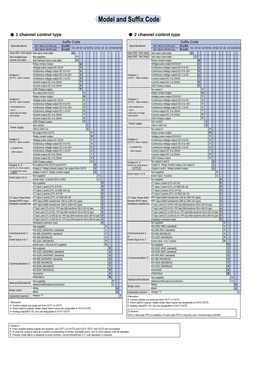# **Model and Suffix Code**

**2 channel control type**

#### **1 channel control type**

| Specifications                               | <b>Suffix Code</b><br>(96 X 96mm 1/4 DIN size)<br><b>HA901</b><br>ם ם-ם ם-ם*ם ם-ם ם ם ם-ם/ם/ם                                          |                         |                         |                |                  |                                |              |                  |                   |                     |              |              |   | Specific                             |
|----------------------------------------------|----------------------------------------------------------------------------------------------------------------------------------------|-------------------------|-------------------------|----------------|------------------|--------------------------------|--------------|------------------|-------------------|---------------------|--------------|--------------|---|--------------------------------------|
| Input (IN1 : No1 input) See input code table | <b>HA401</b><br>(48 X 96mm 1/8 DIN size)<br>$\Box$                                                                                     |                         |                         |                |                  |                                |              |                  |                   |                     |              |              |   | Input (IN1:                          |
| Non isolated type                            | $\pmb{0}$<br>Not supplied                                                                                                              |                         |                         |                |                  |                                |              |                  |                   |                     |              |              |   | Input (IN2:                          |
| remote set value                             | $\Box$<br>See Remote input code table                                                                                                  |                         |                         |                |                  |                                |              |                  |                   |                     |              |              |   |                                      |
|                                              | Relay contact output                                                                                                                   | M                       |                         |                |                  |                                |              |                  |                   |                     |              |              |   |                                      |
|                                              | Voltage pulse output DC 0/12V                                                                                                          | $\overline{\mathbf{V}}$ |                         |                |                  |                                |              |                  |                   |                     |              |              |   |                                      |
|                                              | Continuous voltage output DC 0 to 5V                                                                                                   | $\overline{\mathbf{4}}$ |                         |                |                  |                                |              |                  |                   |                     |              |              |   |                                      |
| Output 1<br>(OUT1 : Main output)             | Continuous voltage output DC 0 to 10V<br>Continuous voltage output DC 1 to 5V                                                          | 5<br>$\boldsymbol{6}$   |                         |                |                  |                                |              |                  |                   |                     |              |              |   | Output 1<br>(OUT1:Ma                 |
|                                              | Current output DC 0 to 20mA                                                                                                            | $\overline{7}$          |                         |                |                  |                                |              |                  |                   |                     |              |              |   |                                      |
|                                              | Current output DC 4 to 20mA                                                                                                            | $\bf{8}$                |                         |                |                  |                                |              |                  |                   |                     |              |              |   |                                      |
|                                              | SSR (Traiac) output                                                                                                                    | T                       |                         |                |                  |                                |              |                  |                   |                     |              |              |   |                                      |
|                                              | No output from OUT2                                                                                                                    |                         | N                       |                |                  |                                |              |                  |                   |                     |              |              |   |                                      |
|                                              | Relay contact output                                                                                                                   |                         | M                       |                |                  |                                |              |                  |                   |                     |              |              |   | Output 2                             |
| Output 2<br>(OUT2 : Main output)             | Voltage pulse output DC 0/12V                                                                                                          |                         | $\overline{\mathbf{V}}$ |                |                  |                                |              |                  |                   |                     |              |              |   | (OUT2: Ma                            |
| Not isolated from                            | Continuous voltage output DC 0 to 5V                                                                                                   |                         | $\overline{4}$<br>5     |                |                  |                                |              |                  |                   |                     |              |              |   | Not isolate                          |
| OUT1.                                        | Continuous voltage output DC 0 to 10V<br>Continuous voltage output DC 1 to 5V                                                          |                         | $\boldsymbol{6}$        |                |                  |                                |              |                  |                   |                     |              |              |   | OUT1.                                |
| (except relay and voltage<br>pulse outputs)  | Current output DC 0 to 20mA                                                                                                            |                         | $\overline{7}$          |                |                  |                                |              |                  |                   |                     |              |              |   | (except relay an<br>pulse outputs)   |
|                                              | Current output DC 4 to 20mA                                                                                                            |                         | 8                       |                |                  |                                |              |                  |                   |                     |              |              |   |                                      |
|                                              | SSR (Traiac) output                                                                                                                    |                         | T                       |                |                  |                                |              |                  |                   |                     |              |              |   |                                      |
| Power supply                                 | 24V AC/DC                                                                                                                              |                         |                         | 3              |                  |                                |              |                  |                   |                     |              |              |   | Power sup                            |
|                                              | 100 to 240V AC                                                                                                                         |                         |                         | $\overline{4}$ |                  |                                |              |                  |                   |                     |              |              |   |                                      |
|                                              | No output from OUT3                                                                                                                    |                         |                         |                | N                |                                |              |                  |                   |                     |              |              |   |                                      |
| Output 3                                     | Relay contact output<br>Voltage pulse output DC 0/12V                                                                                  |                         |                         |                | M<br>V           |                                |              |                  |                   |                     |              |              |   | Output 3                             |
| (OUT3 : Main output)                         | Continuous voltage output DC 0 to 5V                                                                                                   |                         |                         |                | $\overline{4}$   |                                |              |                  |                   |                     |              |              |   | (OUT3: Ma                            |
| Isolated from                                | Continuous voltage output DC 0 to 10V                                                                                                  |                         |                         |                | 5                |                                |              |                  |                   |                     |              |              |   | Isolated f                           |
| other outputs.                               | Continuous voltage output DC 1 to 5V                                                                                                   |                         |                         |                | $\boldsymbol{6}$ |                                |              |                  |                   |                     |              |              |   | other outp                           |
|                                              | Current output DC 0 to 20mA                                                                                                            |                         |                         |                | $\overline{7}$   |                                |              |                  |                   |                     |              |              |   |                                      |
|                                              | Current output DC 4 to 20mA                                                                                                            |                         |                         |                | 8                |                                |              |                  |                   |                     |              |              |   |                                      |
|                                              | SSR (Traiac) output                                                                                                                    |                         |                         |                | T                |                                |              |                  |                   |                     |              |              |   | Output 4,                            |
| Output 4, 5<br>(OUT4, 5 Sub output)          | No outputs from OUT4 and OUT5                                                                                                          |                         |                         |                |                  | N                              |              |                  |                   |                     |              |              |   | (OUT4, 5 S<br>Isolated<br>other outp |
| Isolated from other                          | Output 4 : Relay contact output, No output from OUT5                                                                                   |                         |                         |                |                  | $\mathbf{1}$<br>$\overline{2}$ |              |                  |                   |                     |              |              |   |                                      |
| outputs.                                     | Output 4 and 5 : Relay contact output<br>Not supplied                                                                                  |                         |                         |                |                  |                                | $\mathbf N$  |                  |                   |                     |              |              |   | Event input                          |
| Event input 1 to 5                           | Event input : 5 points (Di1 to Di5)                                                                                                    |                         |                         |                |                  |                                | $\mathbf{1}$ |                  |                   |                     |              |              |   |                                      |
|                                              | Not supplied                                                                                                                           |                         |                         |                |                  |                                |              | N                |                   |                     |              |              |   |                                      |
|                                              | CT input 1 point (CTL-6-P-N)                                                                                                           |                         |                         |                |                  |                                |              | P                |                   |                     |              |              |   |                                      |
|                                              | CT input 1 point (CTL-12-S56-10L-N)                                                                                                    |                         |                         |                |                  |                                |              | S                |                   |                     |              |              |   |                                      |
|                                              | T<br>CT input 2 points (CTL-6-P-N)                                                                                                     |                         |                         |                |                  |                                |              |                  |                   |                     |              |              |   |                                      |
| CT input, Power feed<br>forward (PFF) input, | U<br>CT input 2 points (CTL-12-S56-10L-N)                                                                                              |                         |                         |                |                  |                                |              |                  |                   |                     |              |              |   | CT input, P<br>forward (PF           |
| Feedback transformer                         | $\mathbf{1}$<br>PFF input (With transformer 100 to 120V AC type)<br>$\overline{2}$<br>PFF input (With transformer 200 to 240V AC type) |                         |                         |                |                  |                                |              |                  |                   |                     |              |              |   | Feedback t                           |
|                                              | $\overline{\mathbf{3}}$<br>CT input 1 point (CTL-6-P-N) + PFF input (With transformer 100 to 120V AC type)                             |                         |                         |                |                  |                                |              |                  |                   |                     |              |              |   |                                      |
|                                              | $\overline{4}$<br>CT input 1 point (CTL-6-P-N) + PFF input (With transformer 200 to 240V AC type)                                      |                         |                         |                |                  |                                |              |                  |                   |                     |              |              |   |                                      |
|                                              | CT input 1 point (CTL-12-S56-10L-N) + PFF input (With transformer 100 to 120V AC type)                                                 |                         |                         |                |                  |                                |              |                  |                   |                     |              |              |   |                                      |
|                                              | CT input 1 point (CTL-12-S56-10L-N) + PFF input (With transformer 200 to 240V AC type)                                                 |                         |                         |                |                  |                                |              | $\boldsymbol{6}$ |                   |                     |              |              |   |                                      |
|                                              | Feedback resistane input                                                                                                               |                         |                         |                |                  |                                |              | F                |                   |                     |              |              |   |                                      |
|                                              | Not supplied<br>RS-232C (ANSI/RKC standard)                                                                                            |                         |                         |                |                  |                                |              |                  | N<br>$\mathbf{1}$ |                     |              |              |   |                                      |
| Communicarion 1                              | RS-485 (ANSI/RKC standard)                                                                                                             |                         |                         |                |                  |                                |              |                  | 5                 |                     |              |              |   | Communic                             |
| or                                           | RS-485 (MODBUS)                                                                                                                        |                         |                         |                |                  |                                |              |                  | 6                 |                     |              |              |   | or                                   |
| Event input 6 to 7                           | RS-232C (MODBUS)                                                                                                                       |                         |                         |                |                  |                                |              |                  | $\pmb{8}$         |                     |              |              |   | Event inpu                           |
|                                              | Event input : Di6 and Di7 supplied                                                                                                     |                         |                         |                |                  |                                |              |                  | D                 |                     |              |              |   |                                      |
|                                              | Not supplied                                                                                                                           |                         |                         |                |                  |                                |              |                  |                   | N                   |              |              |   |                                      |
|                                              | RS-232C (ANSI/RKC standard)                                                                                                            |                         |                         |                |                  |                                |              |                  |                   | $\mathbf{1}$        |              |              |   |                                      |
|                                              | RS-422A (ANSI/RKC standard)                                                                                                            |                         |                         |                |                  |                                |              |                  |                   | 4                   |              |              |   | Communi                              |
|                                              | RS-485 (ANSI/RKC standard)                                                                                                             |                         |                         |                |                  |                                |              |                  |                   | 5                   |              |              |   |                                      |
| Communication 2                              | RS-485 (MODBUS)<br>RS-422A (MODBUS)                                                                                                    |                         |                         |                |                  |                                |              |                  |                   | 6<br>$\overline{7}$ |              |              |   |                                      |
|                                              | RS-232C (MODBUS)                                                                                                                       |                         |                         |                |                  |                                |              |                  |                   | 8                   |              |              |   |                                      |
|                                              | <b>DeviceNet</b>                                                                                                                       |                         |                         |                |                  |                                |              |                  |                   | A                   |              |              |   |                                      |
|                                              | <b>PROFIBUS</b>                                                                                                                        |                         |                         |                |                  |                                |              |                  |                   | B                   |              |              |   |                                      |
| Waterproof/Dustproof                         | Not supplied                                                                                                                           |                         |                         |                |                  |                                |              |                  |                   |                     | ${\bf N}$    |              |   | Waterproof                           |
|                                              | Waterproof/Dustproof protection                                                                                                        |                         |                         |                |                  |                                |              |                  |                   |                     | $\mathbf{1}$ |              |   | Body colc                            |
|                                              | White                                                                                                                                  |                         |                         |                |                  |                                |              |                  |                   |                     |              | N            |   |                                      |
|                                              | <b>Black</b>                                                                                                                           |                         |                         |                |                  |                                |              |                  |                   |                     |              | $\mathbf{A}$ |   | Instrument                           |
| Body color                                   |                                                                                                                                        |                         |                         |                |                  |                                |              |                  |                   |                     |              |              |   |                                      |
| Instrument version                           | Always "Y"                                                                                                                             |                         |                         |                |                  |                                |              |                  |                   |                     |              |              | Y | <remarks></remarks>                  |
| <remarks></remarks>                          |                                                                                                                                        |                         |                         |                |                  |                                |              |                  |                   |                     |              |              |   | Control o<br>Event (al               |

|                                                   | <b>Suffix Code</b>                                                                                         |                     |              |   |   |  |  |  |  |  |
|---------------------------------------------------|------------------------------------------------------------------------------------------------------------|---------------------|--------------|---|---|--|--|--|--|--|
| Specifications                                    | (96 X 96mm 1/4 DIN size)<br><b>HA901</b><br>ם כ-ס כ-ם כ-ם כ-ם כ- <del>מ</del>                              |                     |              |   |   |  |  |  |  |  |
|                                                   | <b>HA401</b><br>(48 X 96mm 1/8 DIN size)                                                                   |                     |              |   |   |  |  |  |  |  |
| Input (IN1 : No1 input)<br>Input (IN2: No2 input) | See input code table<br>$\Box$<br>$\Box$                                                                   |                     |              |   |   |  |  |  |  |  |
|                                                   | See input code table<br>Relay contact output                                                               |                     |              |   |   |  |  |  |  |  |
|                                                   | M<br>$\overline{\mathbf{V}}$<br>Voltage pulse output DC0/12V                                               |                     |              |   |   |  |  |  |  |  |
|                                                   | Continuous voltage output DC 0 to 5V<br>$\overline{4}$                                                     |                     |              |   |   |  |  |  |  |  |
|                                                   | 5<br>Continuous voltage output DC 0 to 10V                                                                 |                     |              |   |   |  |  |  |  |  |
|                                                   | $\boldsymbol{6}$                                                                                           |                     |              |   |   |  |  |  |  |  |
| Output 1<br>(OUT1 : Main output)                  | Continuous voltage output DC 1 to 5V<br>$\overline{7}$                                                     |                     |              |   |   |  |  |  |  |  |
|                                                   | Current output DC 0 to 20mA                                                                                |                     |              |   |   |  |  |  |  |  |
|                                                   | 8<br>Current output DC 4 to 20mA<br>T                                                                      |                     |              |   |   |  |  |  |  |  |
|                                                   | SSR (Traiac) output                                                                                        |                     |              |   |   |  |  |  |  |  |
|                                                   | No output 2<br>N<br>M                                                                                      |                     |              |   |   |  |  |  |  |  |
|                                                   | Relay contact output<br>$\overline{\mathbf{V}}$                                                            |                     |              |   |   |  |  |  |  |  |
| Output 2                                          | Voltage pulse output DC0/12V<br>$\overline{4}$                                                             |                     |              |   |   |  |  |  |  |  |
| (OUT2 : Main output)                              | Continuous voltage output DC 0 to 5V<br>5                                                                  |                     |              |   |   |  |  |  |  |  |
| Not isolated from                                 | Continuous voltage output DC 0 to 10V<br>6                                                                 |                     |              |   |   |  |  |  |  |  |
| OUT <sub>1</sub>                                  | Continuous voltage output DC 1 to 5V<br>$\overline{7}$                                                     |                     |              |   |   |  |  |  |  |  |
| (except relay and voltage                         | Current output DC 0 to 20mA<br>8                                                                           |                     |              |   |   |  |  |  |  |  |
| pulse outputs)                                    | Current output DC 4 to 20mA<br>T                                                                           |                     |              |   |   |  |  |  |  |  |
|                                                   | SSR (Traiac) output                                                                                        |                     |              |   |   |  |  |  |  |  |
| Power supply                                      | $\overline{\mathbf{3}}$<br>24V AC/DC                                                                       |                     |              |   |   |  |  |  |  |  |
|                                                   | 100 to 240V AC<br>$\overline{\mathbf{4}}$                                                                  |                     |              |   |   |  |  |  |  |  |
|                                                   | N<br>No output 3                                                                                           |                     |              |   |   |  |  |  |  |  |
|                                                   | M<br>Relay contact output                                                                                  |                     |              |   |   |  |  |  |  |  |
|                                                   | $\overline{\mathbf{V}}$<br>Voltage pulse output DC0/12V                                                    |                     |              |   |   |  |  |  |  |  |
| Output 3                                          | $\overline{\mathbf{4}}$<br>Continuous voltage output DC 0 to 5V                                            |                     |              |   |   |  |  |  |  |  |
| (OUT3 : Main output)                              | 5<br>Continuous voltage output DC 0 to 10V                                                                 |                     |              |   |   |  |  |  |  |  |
| Isolated from                                     | 6<br>Continuous voltage output DC 1 to 5V                                                                  |                     |              |   |   |  |  |  |  |  |
| other outputs.                                    | $\overline{7}$<br>Current output DC 0 to 20mA                                                              |                     |              |   |   |  |  |  |  |  |
|                                                   | 8<br>Current output DC 4 to 20mA                                                                           |                     |              |   |   |  |  |  |  |  |
|                                                   | T<br>SSR (Traiac) output                                                                                   |                     |              |   |   |  |  |  |  |  |
| Output 4, 5                                       | No output 4 and 5<br>N                                                                                     |                     |              |   |   |  |  |  |  |  |
| (OUT4, 5 Sub output)                              | Output 4 : Relay contact output, No output 5<br>$\mathbf{1}$                                               |                     |              |   |   |  |  |  |  |  |
| Isolated from<br>other outputs.                   | Output 4 and 5 : Relay contact output<br>$\overline{2}$                                                    |                     |              |   |   |  |  |  |  |  |
|                                                   | Not supplied<br>N                                                                                          |                     |              |   |   |  |  |  |  |  |
| Event input 1 to 5                                | Event input : 5 points<br>$\mathbf{1}$                                                                     |                     |              |   |   |  |  |  |  |  |
|                                                   | No supplied<br>N                                                                                           |                     |              |   |   |  |  |  |  |  |
|                                                   | CT input 1 point (CTL-6-P-N)<br>$\mathbf{P}$                                                               |                     |              |   |   |  |  |  |  |  |
|                                                   | S<br>CT input 1 point (CTL-12-S56-10L-N)                                                                   |                     |              |   |   |  |  |  |  |  |
|                                                   | T<br>CT input 2 points (CTL-6-P-N)                                                                         |                     |              |   |   |  |  |  |  |  |
|                                                   | CT input 2 points (CTL-12-S56-10L-N)<br>U                                                                  |                     |              |   |   |  |  |  |  |  |
| CT input, Power feed                              | PFF input (With transformer 100 to 120V AC type)<br>$\mathbf{1}$                                           |                     |              |   |   |  |  |  |  |  |
| forward (PFF) input,                              | $\overline{\mathbf{2}}$<br>PFF input (With transformer 200 to 240V AC type)                                |                     |              |   |   |  |  |  |  |  |
| Feedback transformer                              | CT input 1 point (CTL-6-P-N) + PFF input (With transformer 100 to 120V AC type)<br>$\overline{\mathbf{3}}$ |                     |              |   |   |  |  |  |  |  |
|                                                   | CT input 1 point (CTL-6-P-N) + PFF input (With transformer 200 to 240V AC type)<br>$\overline{4}$          |                     |              |   |   |  |  |  |  |  |
|                                                   | 5<br>CT input 1 point (CTL-12-S56-10L-N) + PFF input (With transformer 100 to 120V AC type)                |                     |              |   |   |  |  |  |  |  |
|                                                   | CT input 1 point (CTL-12-S56-10L-N) + PFF input (With transformer 200 to 240V AC type)<br>6                |                     |              |   |   |  |  |  |  |  |
|                                                   | Feedback resistane input<br>F                                                                              |                     |              |   |   |  |  |  |  |  |
|                                                   | No supplied<br>N                                                                                           |                     |              |   |   |  |  |  |  |  |
|                                                   | $\mathbf{1}$                                                                                               |                     |              |   |   |  |  |  |  |  |
|                                                   | RS-232C (RKC standard)<br>5                                                                                |                     |              |   |   |  |  |  |  |  |
|                                                   | RS-485 (RKC standard)                                                                                      |                     |              |   |   |  |  |  |  |  |
| Communicarion 1<br>or                             | RS-485 (MODBUS)<br>6<br>8                                                                                  |                     |              |   |   |  |  |  |  |  |
| Event input 6 to 7                                | RS-232C (MODBUS)                                                                                           |                     |              |   |   |  |  |  |  |  |
|                                                   | Event input : 6 to 7 points<br>D                                                                           |                     |              |   |   |  |  |  |  |  |
|                                                   | No supplied                                                                                                | N                   |              |   |   |  |  |  |  |  |
|                                                   | RS-232C (RKC standard)                                                                                     | $\mathbf{1}$        |              |   |   |  |  |  |  |  |
|                                                   | RS-422A (RKC standard)                                                                                     | $\overline{\bf{4}}$ |              |   |   |  |  |  |  |  |
| Communication 2                                   | RS-485 (RKC standard)                                                                                      | 5                   |              |   |   |  |  |  |  |  |
|                                                   | RS-485 (MODBUS)                                                                                            | 6                   |              |   |   |  |  |  |  |  |
|                                                   | RS-422A (MODBUS)                                                                                           | $\overline{7}$      |              |   |   |  |  |  |  |  |
|                                                   | RS-232C (MODBUS)                                                                                           | 8                   |              |   |   |  |  |  |  |  |
|                                                   | <b>DeviceNet</b>                                                                                           | $\boldsymbol{A}$    |              |   |   |  |  |  |  |  |
|                                                   | <b>PROFIBUS</b>                                                                                            | B                   |              |   |   |  |  |  |  |  |
| Waterproof/Dustproof                              | Not supplied                                                                                               |                     | N            |   |   |  |  |  |  |  |
|                                                   | Waterproof/Dustproof protection                                                                            |                     | $\mathbf{1}$ |   |   |  |  |  |  |  |
| Body color                                        | White                                                                                                      |                     |              | N |   |  |  |  |  |  |
|                                                   | <b>Black</b>                                                                                               |                     |              | A |   |  |  |  |  |  |
| Instrument version                                | Always "Y"                                                                                                 |                     |              |   | Y |  |  |  |  |  |
| <remarks></remarks>                               |                                                                                                            |                     |              |   |   |  |  |  |  |  |
|                                                   | Control outputs are produced from OUT1 or OUT2.                                                            |                     |              |   |   |  |  |  |  |  |
|                                                   | Event (alarm) outputs, heater break alarm oututs are assignable to OUT3-OUT5.                              |                     |              |   |   |  |  |  |  |  |
|                                                   | Analog output(PV, SV, etc) are assignable to OUT1-OUT3.                                                    |                     |              |   |   |  |  |  |  |  |
| <caution></caution>                               |                                                                                                            |                     |              |   |   |  |  |  |  |  |
|                                                   | Only 3-wire type RTD is available. If 4-wire type RTD is requried, use 1-channel type controller.          |                     |              |   |   |  |  |  |  |  |
|                                                   |                                                                                                            |                     |              |   |   |  |  |  |  |  |
|                                                   |                                                                                                            |                     |              |   |   |  |  |  |  |  |

<Caution><br>If two isolated analog outputs are required, use OUT1 (or OUT2) and OUT3. OUT1 and OUT2 are not isolated.<br>In case this model is used as a position proportioning controller (available soon), two or more outputs mu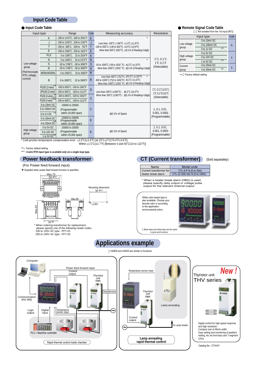#### **Input Code Table**

#### $\bullet$  **Input Code Table**

| Input type                      |                                                  | Range                                | Code           | Measuring accuracy                                                                                                                                             | <b>Resolution</b>                                                  |  |  |
|---------------------------------|--------------------------------------------------|--------------------------------------|----------------|----------------------------------------------------------------------------------------------------------------------------------------------------------------|--------------------------------------------------------------------|--|--|
|                                 | K                                                | -200 to 1372°C, -328 to 2501°F       | K              | *                                                                                                                                                              |                                                                    |  |  |
|                                 | J                                                | -200 to 1200°C, -328 to 2192°F       | J              | Less than -100°C (-148°F): ±1.0°C (±1.8°F)                                                                                                                     |                                                                    |  |  |
|                                 | T                                                | -200 to 400°C, -328 to 752°F         | т              | -100 to 500°C (-148 to 932°F): ±0.5°C (±0.9°F)                                                                                                                 |                                                                    |  |  |
|                                 | E                                                | -200 to 1000°C. -328 to 1832°F       | E              | More than 500°C (932°F): ±(0.1% of Reading+1digit)                                                                                                             |                                                                    |  |  |
|                                 | PLII                                             | 0 to 1390°C. 32 to 2534°F            | $\overline{A}$ |                                                                                                                                                                |                                                                    |  |  |
|                                 | N                                                | 0 to 1300°C, 32 to 2372°F            | N              | $\star$                                                                                                                                                        | $1^{\circ}$ C, 0.1 $^{\circ}$ C<br>$1^{\circ}$ F, 0.1 $^{\circ}$ F |  |  |
| Low voltage                     | S                                                | -50 to 1768°C, -58 to 3000°F         | S              | -50 to 1000°C (-58 to 1832 °F): ±1.0°C (±1.8°F)                                                                                                                |                                                                    |  |  |
| group                           | R                                                | -50 to 1768°C, -58 to 3000°F         | $\mathsf{R}$   | More than 1000°C (1832 °F): ±(0.1% of Reading+1digit)                                                                                                          | (Selectable)                                                       |  |  |
| (Thermocouple,<br>RTD, voltage, | W5Re/W26Re                                       | 0 to 2300°C.<br>32 to 3000°F         | W              |                                                                                                                                                                |                                                                    |  |  |
| current)                        | B                                                | 0 to 1800°C.<br>32 to 3000°F         | B              | Less than 400°C (752°F): ±70.0°C (±126°F)<br>$\ast$<br>400 to 1000°C (752 to 1832°F): ±1.0°C (±1.8°F)<br>More than 1000°C (1832 °F): ±(0.1% of Reading+1digit) |                                                                    |  |  |
|                                 | Pt100 (3 wire)*                                  | -200 to 850°C, -328 to 1562°F        |                |                                                                                                                                                                |                                                                    |  |  |
|                                 | JPt100 (3 wire)<br>-200 to 600°C, -328 to 1112°F |                                      | D              | Less than 200°C (±392°F) : ±0.2°C (±0.4°F)                                                                                                                     | 1°C, 0.1°C, 0.01°C,<br>1°F, 0.1°F, 0.01°F,                         |  |  |
|                                 | Pt100 (4 wire)***                                | -200 to 850°C, -328 to 1562°F        |                | More than 200°C ( $\pm 392$ °F) : $\pm$ (0.1% of Reading+1digit)                                                                                               | (Selectable)                                                       |  |  |
|                                 | Pt100 (4 wire)***                                | -200 to 600°C, -328 to 1112°F        | C              |                                                                                                                                                                |                                                                    |  |  |
|                                 | 0 to 10mV DC                                     | -20000 to 20000                      |                |                                                                                                                                                                |                                                                    |  |  |
|                                 | 0 to 100mV DC                                    | (Programmable                        | 3              |                                                                                                                                                                | 1, 0.1, 0.01,                                                      |  |  |
|                                 | 0 to 1V DC                                       | within 20,000 span)                  |                | $\pm$ (0.1% of Span)                                                                                                                                           | 0.001, 0.0001                                                      |  |  |
|                                 | 0 to 20mA DC                                     | -20000 to 20000                      | 8              |                                                                                                                                                                | (Programmable)                                                     |  |  |
|                                 | 4 to 20mA DC                                     | (Programmable<br>within 20,000 span) |                |                                                                                                                                                                |                                                                    |  |  |
|                                 | 0 to 5V DC                                       | $-20000$ to $20000$                  |                |                                                                                                                                                                | 1, 0.1, 0.01,                                                      |  |  |
| High voltage                    | 0 to 10V DC                                      | (Programmable                        | $6\phantom{1}$ | $\pm$ (0.1% of Span)                                                                                                                                           | 0.001, 0.0001                                                      |  |  |
| group                           | 1 to 5V $DC***$                                  | within 20,000 span)                  |                |                                                                                                                                                                | (Programmable)                                                     |  |  |
|                                 |                                                  |                                      |                | * Cold junction temperature compensation error : ±1.0°C(±1.8°F) [at 23°C±2°C(73.4°F±3.6°F],                                                                    |                                                                    |  |  |

**Remote Signal Code Table**

**(\***Not isolated from the 1st input [IN1])

|              | Input type    |    | Code                    |
|--------------|---------------|----|-------------------------|
|              | 0 to 10mV DC  |    |                         |
| Low voltage  | 0 to 100mV DC |    | G                       |
| group        | 0 to 1V DC    | ** |                         |
|              | 0 to 5V DC    |    |                         |
| High voltage | 0 to 10V DC   |    | $\overline{\mathbf{V}}$ |
| group        | 1 to 5V DC    | ** |                         |
| Current      | 0 to 20mA DC  |    |                         |
| group        | 4 to 20mA DC  | ** |                         |

Factory default setting. \*\*

Within  $\pm 1.5^{\circ}C(\pm 2.7^{\circ}F)$  [Between 0 and  $50^{\circ}C(14$  to  $122^{\circ}F)$ ]

\*\*: Factory default setting.

*: 4-wire RTD input type is available only on a single loop type.* \*\*\*

#### **Power feedback transformer**

### (For Power feed forward input)

Supplied when power feed forward function is specified.



\* When ordering transformer for replacement, please specify one of the following model codes. 100 to 120V AC type : PFT-01 200 to 240V AC type : PFT-02

#### (Sold separately) **CT (Current transformer)**

| Name                    | Model code                   |
|-------------------------|------------------------------|
| Current transformer for | CTL-6-P-N (0 to 30A)         |
| heater break alarm      | CTL-12-S56-10L-N (0 to 100A) |

\* When a heater break alarm (HBA) is used, please specify relay output or voltage pulse output for the relevant channel output.



## **Applications example**